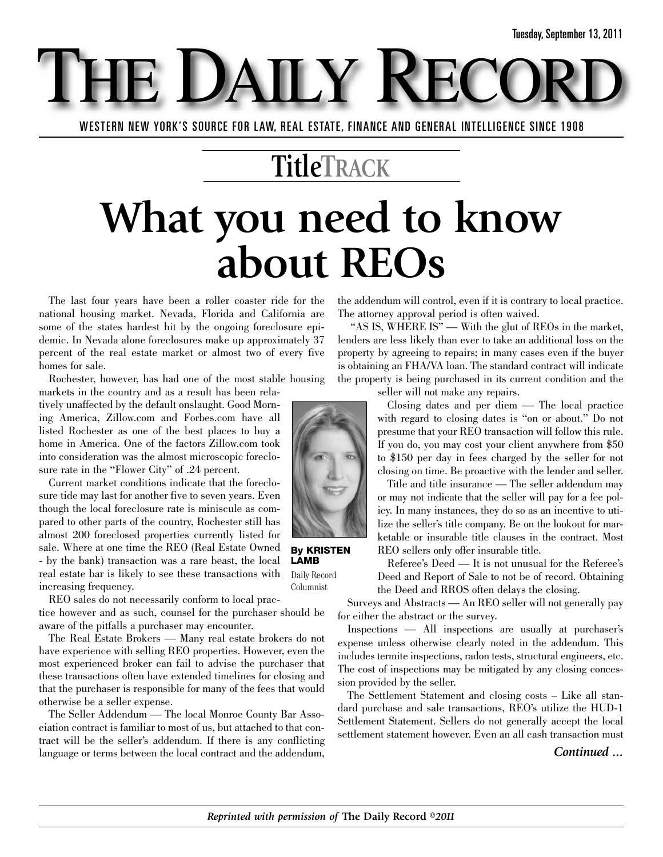T DAILY WESTERN NEW YORK'S SOURCE FOR LAW, REAL ESTATE, FINANCE AND GENERAL INTELLIGENCE SINCE 1908

### **TitleTRACK**

# **What you need to know about REOs**

The last four years have been a roller coaster ride for the national housing market. Nevada, Florida and California are some of the states hardest hit by the ongoing foreclosure epidemic. In Nevada alone foreclosures make up approximately 37 percent of the real estate market or almost two of every five homes for sale.

Rochester, however, has had one of the most stable housing

markets in the country and as a result has been relatively unaffected by the default onslaught. Good Morning America, Zillow.com and Forbes.com have all listed Rochester as one of the best places to buy a home in America. One of the factors Zillow.com took into consideration was the almost microscopic foreclosure rate in the "Flower City" of .24 percent.

Current market conditions indicate that the foreclosure tide may last for another five to seven years. Even though the local foreclosure rate is miniscule as compared to other parts of the country, Rochester still has almost 200 foreclosed properties currently listed for sale. Where at one time the REO (Real Estate Owned - by the bank) transaction was a rare beast, the local real estate bar is likely to see these transactions with increasing frequency.

REO sales do not necessarily conform to local prac-

tice however and as such, counsel for the purchaser should be aware of the pitfalls a purchaser may encounter.

The Real Estate Brokers — Many real estate brokers do not have experience with selling REO properties. However, even the most experienced broker can fail to advise the purchaser that these transactions often have extended timelines for closing and that the purchaser is responsible for many of the fees that would otherwise be a seller expense.

The Seller Addendum — The local Monroe County Bar Association contract is familiar to most of us, but attached to that contract will be the seller's addendum. If there is any conflicting language or terms between the local contract and the addendum, the addendum will control, even if it is contrary to local practice. The attorney approval period is often waived.

"AS IS, WHERE IS" — With the glut of REOs in the market, lenders are less likely than ever to take an additional loss on the property by agreeing to repairs; in many cases even if the buyer is obtaining an FHA/VA loan. The standard contract will indicate the property is being purchased in its current condition and the seller will not make any repairs.

> Closing dates and per diem — The local practice with regard to closing dates is "on or about." Do not presume that your REO transaction will follow this rule. If you do, you may cost your client anywhere from \$50 to \$150 per day in fees charged by the seller for not closing on time. Be proactive with the lender and seller. Title and title insurance — The seller addendum may or may not indicate that the seller will pay for a fee pol-



**By KRISTEN LAMB**

Daily Record Columnist

icy. In many instances, they do so as an incentive to utilize the seller's title company. Be on the lookout for marketable or insurable title clauses in the contract. Most REO sellers only offer insurable title. Referee's Deed — It is not unusual for the Referee's

Deed and Report of Sale to not be of record. Obtaining the Deed and RROS often delays the closing.

Surveys and Abstracts — An REO seller will not generally pay for either the abstract or the survey.

Inspections — All inspections are usually at purchaser's expense unless otherwise clearly noted in the addendum. This includes termite inspections, radon tests, structural engineers, etc. The cost of inspections may be mitigated by any closing concession provided by the seller.

The Settlement Statement and closing costs – Like all standard purchase and sale transactions, REO's utilize the HUD-1 Settlement Statement. Sellers do not generally accept the local settlement statement however. Even an all cash transaction must

#### *Continued ...*